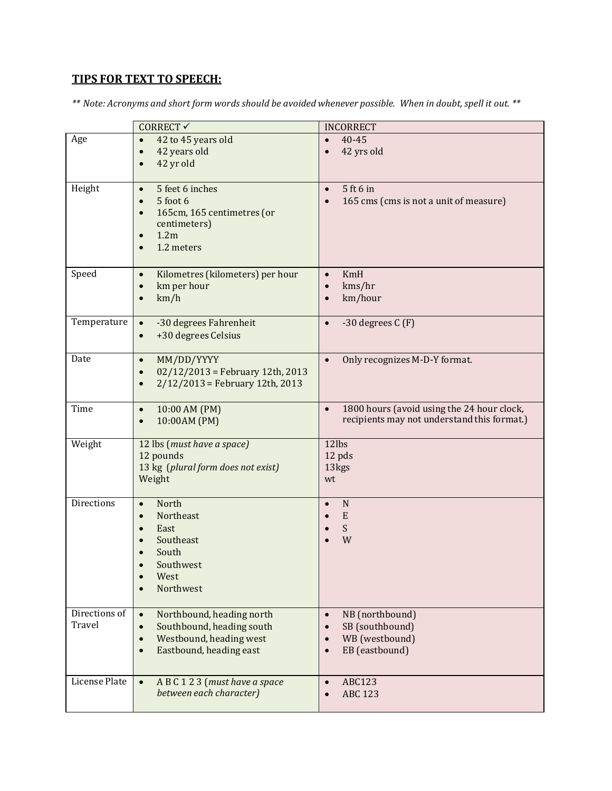## **TIPS FOR TEXT TO SPEECH:**

|                         | CORRECT√                                                                         | <b>INCORRECT</b>                                                                                       |
|-------------------------|----------------------------------------------------------------------------------|--------------------------------------------------------------------------------------------------------|
| Age                     | 42 to 45 years old<br>$\bullet$<br>42 years old<br>$\bullet$                     | 40-45<br>$\bullet$<br>42 yrs old<br>$\bullet$                                                          |
|                         | 42 yr old<br>$\bullet$                                                           |                                                                                                        |
| Height                  | 5 feet 6 inches<br>$\bullet$<br>5 foot 6<br>$\bullet$                            | 5 ft 6 in<br>$\bullet$<br>165 cms (cms is not a unit of measure)<br>$\bullet$                          |
|                         | 165cm, 165 centimetres (or<br>$\bullet$<br>centimeters)                          |                                                                                                        |
|                         | 1.2 <sub>m</sub><br>$\bullet$<br>1.2 meters<br>$\bullet$                         |                                                                                                        |
| Speed                   | Kilometres (kilometers) per hour<br>$\bullet$                                    | KmH<br>$\bullet$                                                                                       |
|                         | km per hour<br>$\bullet$                                                         | kms/hr<br>$\bullet$                                                                                    |
|                         | km/h<br>$\bullet$                                                                | km/hour                                                                                                |
| Temperature             | -30 degrees Fahrenheit<br>$\bullet$<br>+30 degrees Celsius<br>$\bullet$          | $-30$ degrees $C(F)$<br>$\bullet$                                                                      |
| Date                    | MM/DD/YYYY<br>$\bullet$<br>$02/12/2013$ = February 12th, 2013<br>$\bullet$       | Only recognizes M-D-Y format.<br>$\bullet$                                                             |
|                         | $2/12/2013$ = February 12th, 2013<br>$\bullet$                                   |                                                                                                        |
| Time                    | 10:00 AM (PM)<br>$\bullet$<br>10:00AM (PM)<br>$\bullet$                          | 1800 hours (avoid using the 24 hour clock,<br>$\bullet$<br>recipients may not understand this format.) |
| Weight                  | 12 lbs (must have a space)<br>12 pounds                                          | 12lbs<br>12 pds                                                                                        |
|                         | 13 kg (plural form does not exist)<br>Weight                                     | 13kgs<br>wt                                                                                            |
| Directions              | North<br>$\bullet$<br>Northeast<br>$\bullet$                                     | N<br>$\bullet$<br>$\mathbf E$                                                                          |
|                         | East<br>$\bullet$<br>Southeast                                                   | ${\mathsf S}$<br>W                                                                                     |
|                         | South                                                                            |                                                                                                        |
|                         | Southwest<br>West<br>$\bullet$                                                   |                                                                                                        |
|                         | Northwest<br>$\bullet$                                                           |                                                                                                        |
| Directions of<br>Travel | Northbound, heading north<br>$\bullet$<br>Southbound, heading south<br>$\bullet$ | NB (northbound)<br>$\bullet$<br>SB (southbound)<br>$\bullet$                                           |
|                         | Westbound, heading west<br>$\bullet$                                             | WB (westbound)<br>$\bullet$                                                                            |
|                         | Eastbound, heading east<br>$\bullet$                                             | EB (eastbound)<br>$\bullet$                                                                            |
| <b>License Plate</b>    | A B C 1 2 3 (must have a space<br>between each character)                        | ABC123<br>$\bullet$<br><b>ABC 123</b>                                                                  |
|                         |                                                                                  |                                                                                                        |

\*\* Note: Acronyms and short form words should be avoided whenever possible. When in doubt, spell it out. \*\*